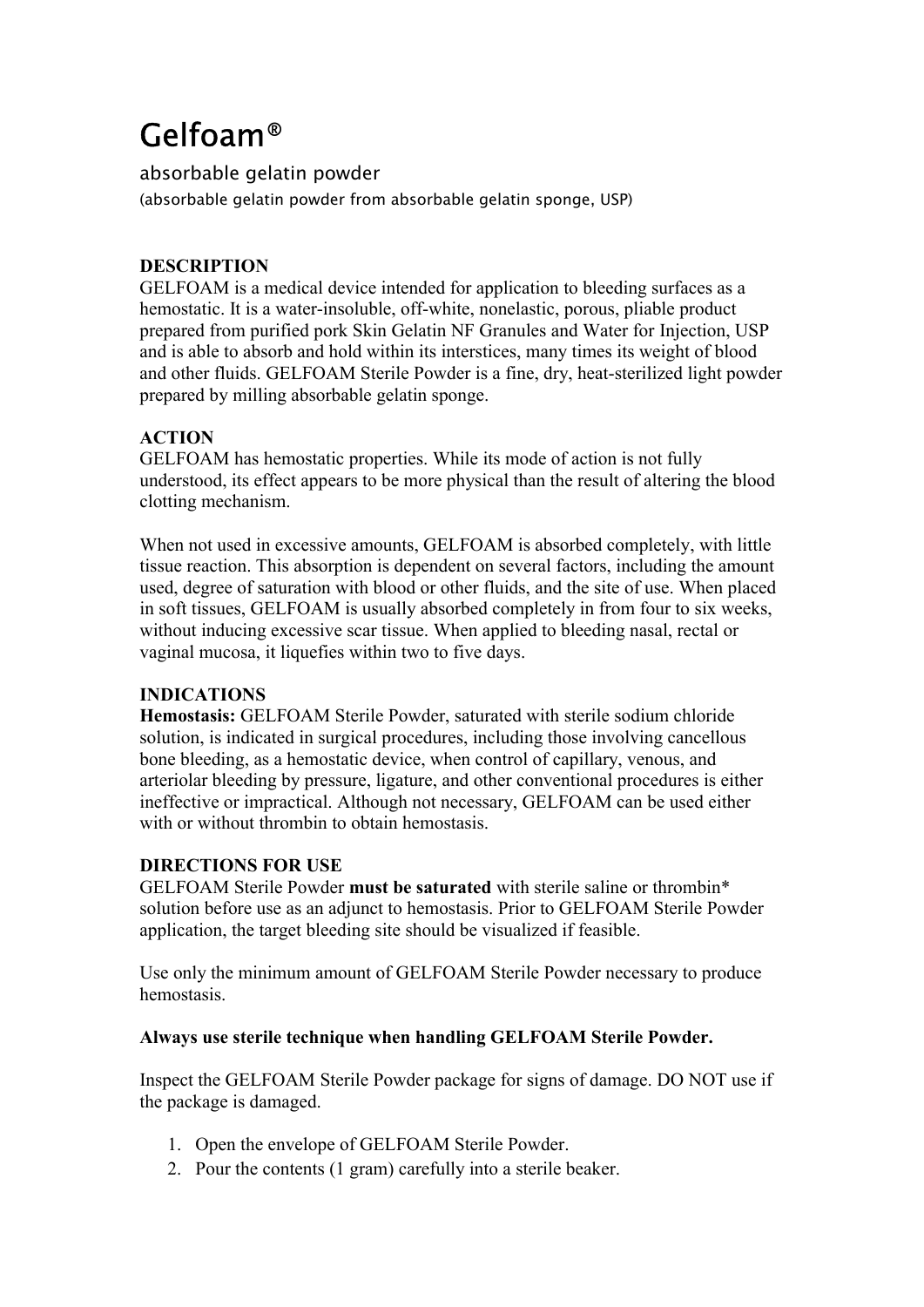# Gelfoam®

absorbable gelatin powder

(absorbable gelatin powder from absorbable gelatin sponge, USP)

# **DESCRIPTION**

GELFOAM is a medical device intended for application to bleeding surfaces as a hemostatic. It is a water-insoluble, off-white, nonelastic, porous, pliable product prepared from purified pork Skin Gelatin NF Granules and Water for Injection, USP and is able to absorb and hold within its interstices, many times its weight of blood and other fluids. GELFOAM Sterile Powder is a fine, dry, heat-sterilized light powder prepared by milling absorbable gelatin sponge.

# **ACTION**

GELFOAM has hemostatic properties. While its mode of action is not fully understood, its effect appears to be more physical than the result of altering the blood clotting mechanism.

When not used in excessive amounts, GELFOAM is absorbed completely, with little tissue reaction. This absorption is dependent on several factors, including the amount used, degree of saturation with blood or other fluids, and the site of use. When placed in soft tissues, GELFOAM is usually absorbed completely in from four to six weeks, without inducing excessive scar tissue. When applied to bleeding nasal, rectal or vaginal mucosa, it liquefies within two to five days.

# **INDICATIONS**

**Hemostasis:** GELFOAM Sterile Powder, saturated with sterile sodium chloride solution, is indicated in surgical procedures, including those involving cancellous bone bleeding, as a hemostatic device, when control of capillary, venous, and arteriolar bleeding by pressure, ligature, and other conventional procedures is either ineffective or impractical. Although not necessary, GELFOAM can be used either with or without thrombin to obtain hemostasis.

# **DIRECTIONS FOR USE**

GELFOAM Sterile Powder **must be saturated** with sterile saline or thrombin\* solution before use as an adjunct to hemostasis. Prior to GELFOAM Sterile Powder application, the target bleeding site should be visualized if feasible.

Use only the minimum amount of GELFOAM Sterile Powder necessary to produce hemostasis.

# **Always use sterile technique when handling GELFOAM Sterile Powder.**

Inspect the GELFOAM Sterile Powder package for signs of damage. DO NOT use if the package is damaged.

- 1. Open the envelope of GELFOAM Sterile Powder.
- 2. Pour the contents (1 gram) carefully into a sterile beaker.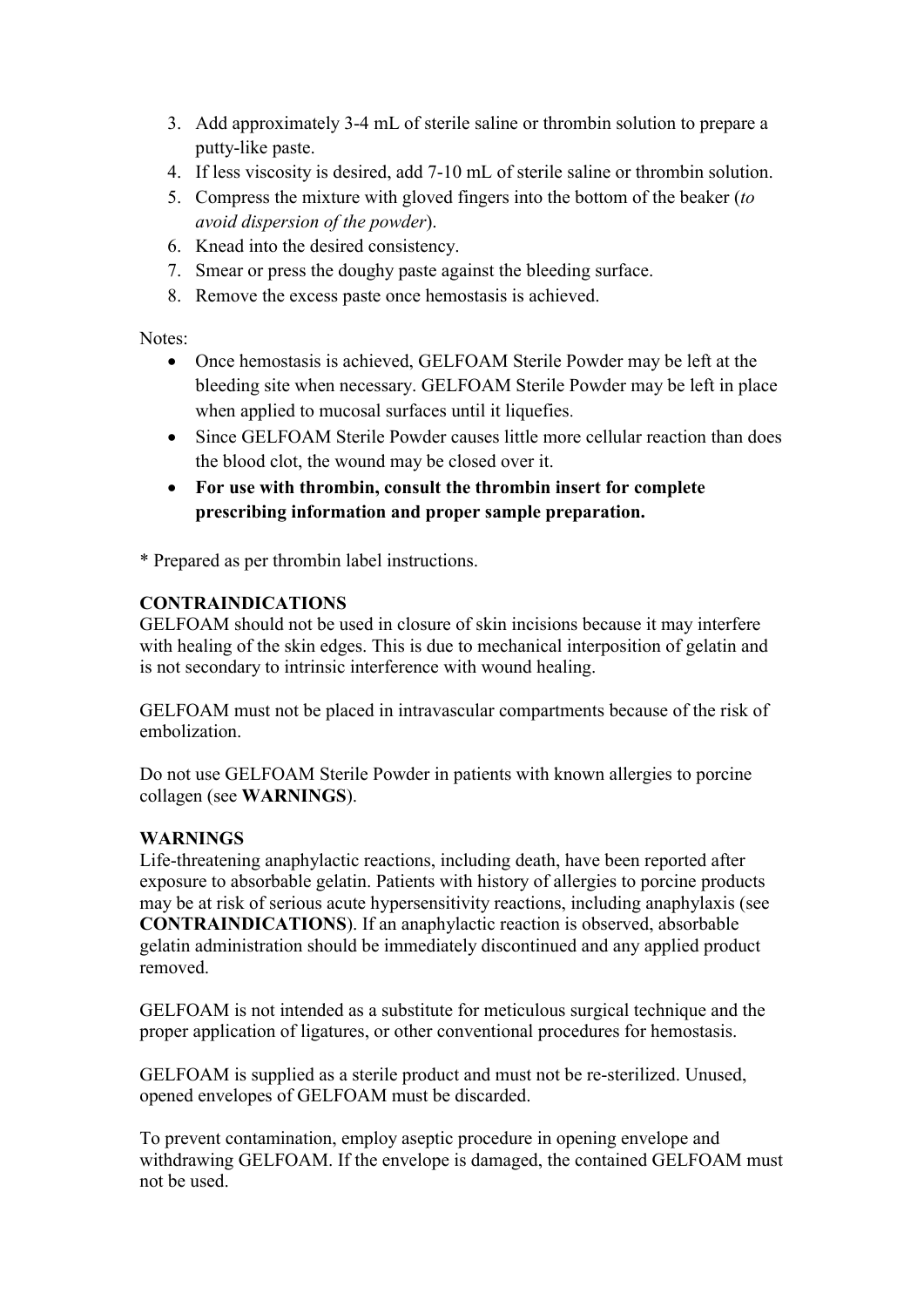- <span id="page-1-0"></span>3. Add approximately 3-4 mL of sterile saline or thrombin solution to prepare a putty-like paste.
- 4. If less viscosity is desired, add 7-10 mL of sterile saline or thrombin solution.
- 5. Compress the mixture with gloved fingers into the bottom of the beaker (*to avoid dispersion of the powder*).
- 6. Knead into the desired consistency.
- 7. Smear or press the doughy paste against the bleeding surface.
- 8. Remove the excess paste once hemostasis is achieved.

Notes:

- Once hemostasis is achieved, GELFOAM Sterile Powder may be left at the bleeding site when necessary. GELFOAM Sterile Powder may be left in place when applied to mucosal surfaces until it liquefies.
- Since GELFOAM Sterile Powder causes little more cellular reaction than does the blood clot, the wound may be closed over it.
- **For use with thrombin, consult the thrombin insert for complete prescribing information and proper sample preparation.**

[\\*](#page-1-0) Prepared as per thrombin label instructions.

# **CONTRAINDICATIONS**

GELFOAM should not be used in closure of skin incisions because it may interfere with healing of the skin edges. This is due to mechanical interposition of gelatin and is not secondary to intrinsic interference with wound healing.

GELFOAM must not be placed in intravascular compartments because of the risk of embolization.

Do not use GELFOAM Sterile Powder in patients with known allergies to porcine collagen (see **WARNINGS**).

# **WARNINGS**

Life-threatening anaphylactic reactions, including death, have been reported after exposure to absorbable gelatin. Patients with history of allergies to porcine products may be at risk of serious acute hypersensitivity reactions, including anaphylaxis (see **CONTRAINDICATIONS**). If an anaphylactic reaction is observed, absorbable gelatin administration should be immediately discontinued and any applied product removed.

GELFOAM is not intended as a substitute for meticulous surgical technique and the proper application of ligatures, or other conventional procedures for hemostasis.

GELFOAM is supplied as a sterile product and must not be re-sterilized. Unused, opened envelopes of GELFOAM must be discarded.

To prevent contamination, employ aseptic procedure in opening envelope and withdrawing GELFOAM. If the envelope is damaged, the contained GELFOAM must not be used.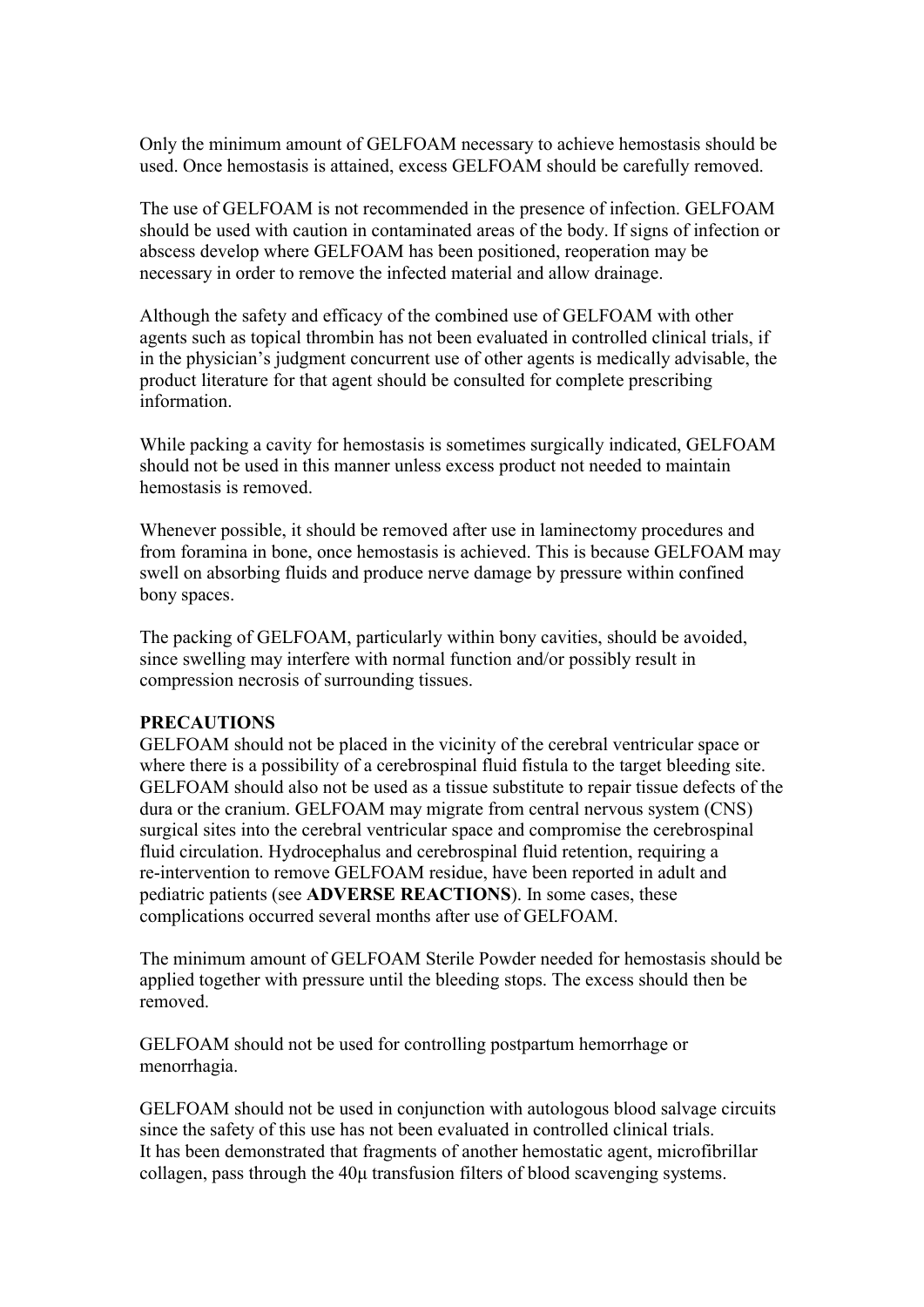Only the minimum amount of GELFOAM necessary to achieve hemostasis should be used. Once hemostasis is attained, excess GELFOAM should be carefully removed.

The use of GELFOAM is not recommended in the presence of infection. GELFOAM should be used with caution in contaminated areas of the body. If signs of infection or abscess develop where GELFOAM has been positioned, reoperation may be necessary in order to remove the infected material and allow drainage.

Although the safety and efficacy of the combined use of GELFOAM with other agents such as topical thrombin has not been evaluated in controlled clinical trials, if in the physician's judgment concurrent use of other agents is medically advisable, the product literature for that agent should be consulted for complete prescribing information.

While packing a cavity for hemostasis is sometimes surgically indicated, GELFOAM should not be used in this manner unless excess product not needed to maintain hemostasis is removed.

Whenever possible, it should be removed after use in laminectomy procedures and from foramina in bone, once hemostasis is achieved. This is because GELFOAM may swell on absorbing fluids and produce nerve damage by pressure within confined bony spaces.

The packing of GELFOAM, particularly within bony cavities, should be avoided, since swelling may interfere with normal function and/or possibly result in compression necrosis of surrounding tissues.

#### **PRECAUTIONS**

GELFOAM should not be placed in the vicinity of the cerebral ventricular space or where there is a possibility of a cerebrospinal fluid fistula to the target bleeding site. GELFOAM should also not be used as a tissue substitute to repair tissue defects of the dura or the cranium. GELFOAM may migrate from central nervous system (CNS) surgical sites into the cerebral ventricular space and compromise the cerebrospinal fluid circulation. Hydrocephalus and cerebrospinal fluid retention, requiring a re-intervention to remove GELFOAM residue, have been reported in adult and pediatric patients (see **ADVERSE REACTIONS**). In some cases, these complications occurred several months after use of GELFOAM.

The minimum amount of GELFOAM Sterile Powder needed for hemostasis should be applied together with pressure until the bleeding stops. The excess should then be removed.

GELFOAM should not be used for controlling postpartum hemorrhage or menorrhagia.

GELFOAM should not be used in conjunction with autologous blood salvage circuits since the safety of this use has not been evaluated in controlled clinical trials. It has been demonstrated that fragments of another hemostatic agent, microfibrillar collagen, pass through the 40μ transfusion filters of blood scavenging systems.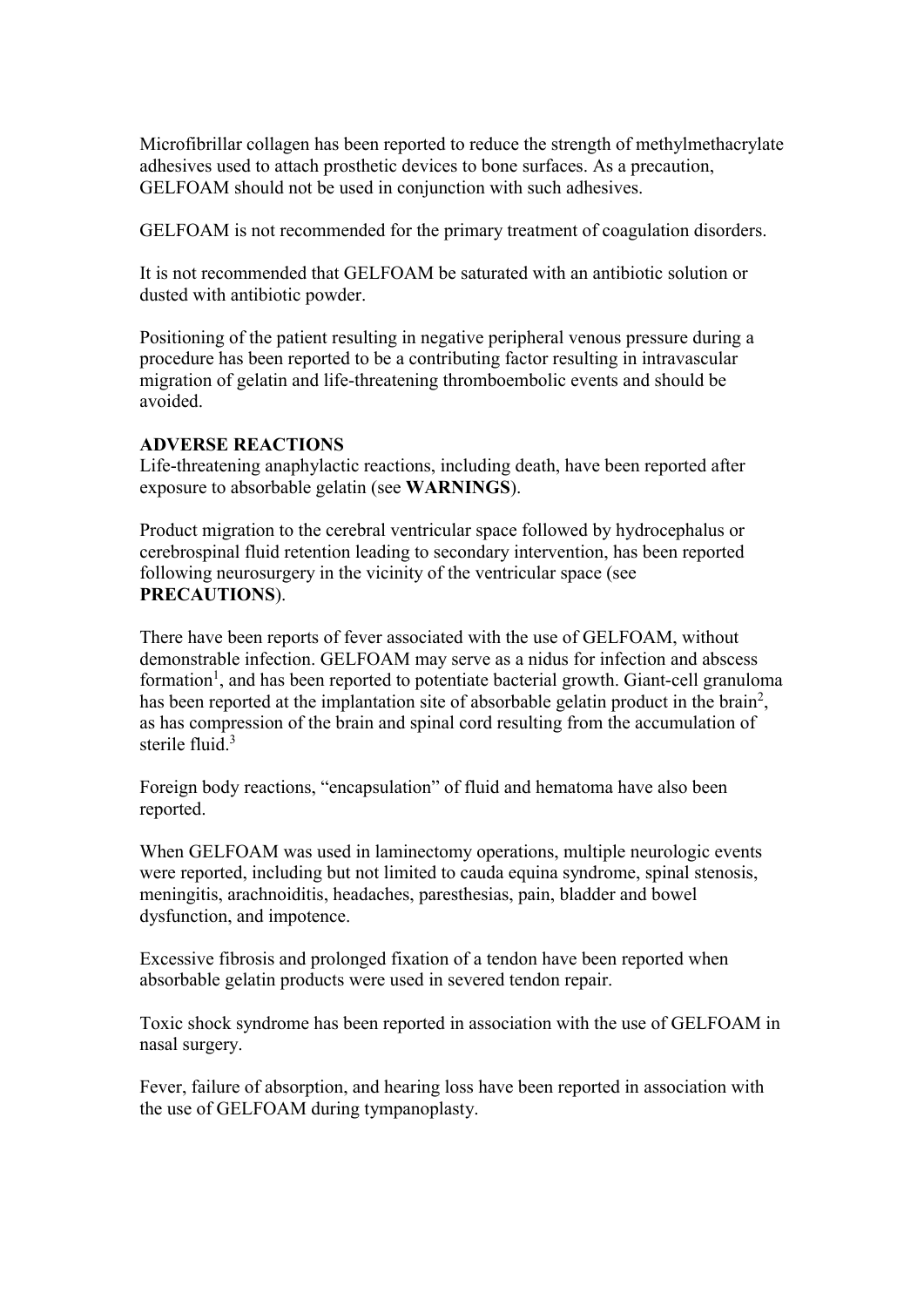Microfibrillar collagen has been reported to reduce the strength of methylmethacrylate adhesives used to attach prosthetic devices to bone surfaces. As a precaution, GELFOAM should not be used in conjunction with such adhesives.

GELFOAM is not recommended for the primary treatment of coagulation disorders.

It is not recommended that GELFOAM be saturated with an antibiotic solution or dusted with antibiotic powder.

Positioning of the patient resulting in negative peripheral venous pressure during a procedure has been reported to be a contributing factor resulting in intravascular migration of gelatin and life-threatening thromboembolic events and should be avoided.

## **ADVERSE REACTIONS**

Life-threatening anaphylactic reactions, including death, have been reported after exposure to absorbable gelatin (see **WARNINGS**).

Product migration to the cerebral ventricular space followed by hydrocephalus or cerebrospinal fluid retention leading to secondary intervention, has been reported following neurosurgery in the vicinity of the ventricular space (see **PRECAUTIONS**).

There have been reports of fever associated with the use of GELFOAM, without demonstrable infection. GELFOAM may serve as a nidus for infection and abscess formation<sup>1</sup>, and has been reported to potentiate bacterial growth. Giant-cell granuloma has been reported at the implantation site of absorbable gelatin product in the brain<sup>2</sup>, as has compression of the brain and spinal cord resulting from the accumulation of sterile fluid. $3$ 

Foreign body reactions, "encapsulation" of fluid and hematoma have also been reported.

When GELFOAM was used in laminectomy operations, multiple neurologic events were reported, including but not limited to cauda equina syndrome, spinal stenosis, meningitis, arachnoiditis, headaches, paresthesias, pain, bladder and bowel dysfunction, and impotence.

Excessive fibrosis and prolonged fixation of a tendon have been reported when absorbable gelatin products were used in severed tendon repair.

Toxic shock syndrome has been reported in association with the use of GELFOAM in nasal surgery.

Fever, failure of absorption, and hearing loss have been reported in association with the use of GELFOAM during tympanoplasty.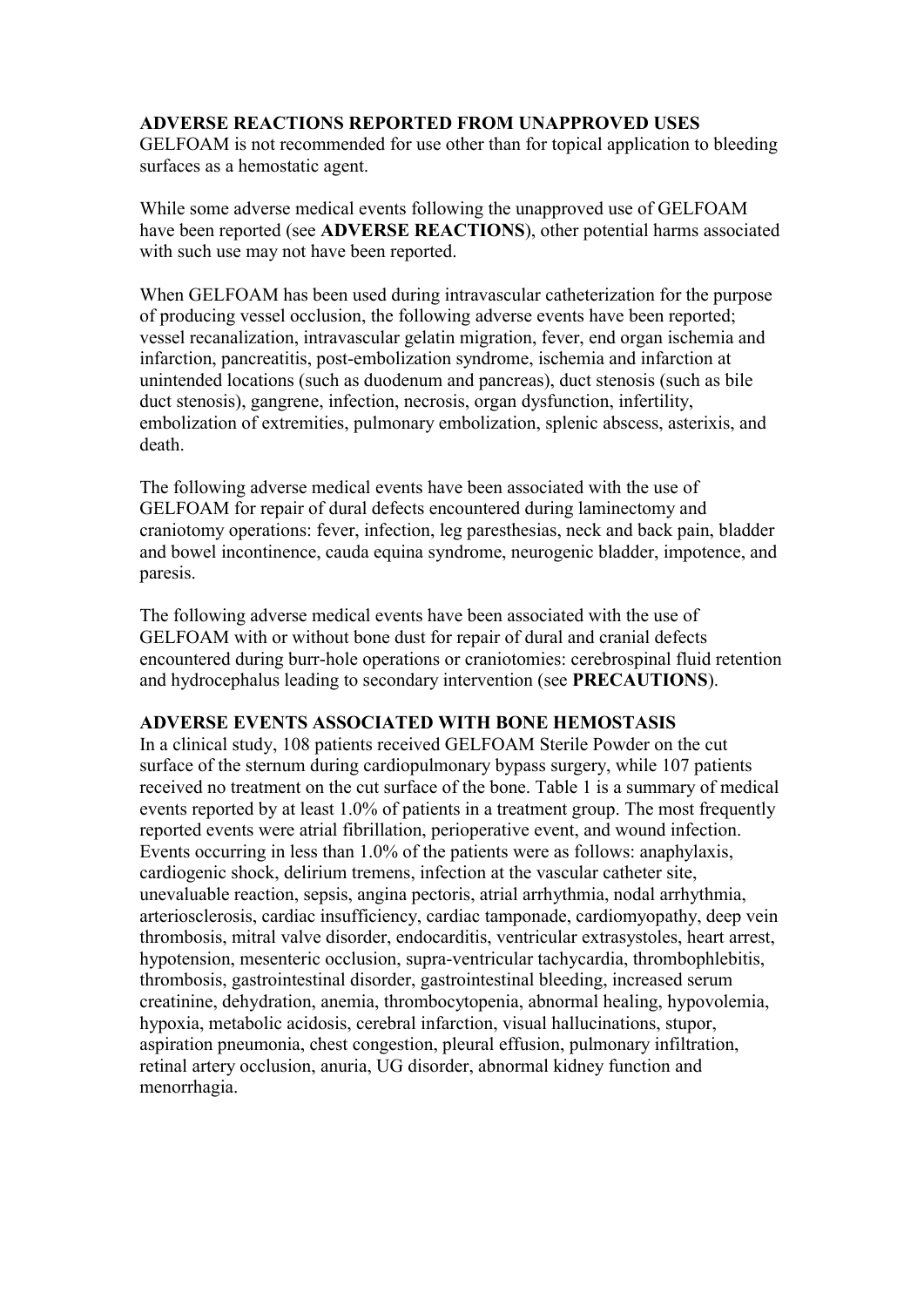#### **ADVERSE REACTIONS REPORTED FROM UNAPPROVED USES**

GELFOAM is not recommended for use other than for topical application to bleeding surfaces as a hemostatic agent.

While some adverse medical events following the unapproved use of GELFOAM have been reported (see **ADVERSE REACTIONS**), other potential harms associated with such use may not have been reported.

When GELFOAM has been used during intravascular catheterization for the purpose of producing vessel occlusion, the following adverse events have been reported; vessel recanalization, intravascular gelatin migration, fever, end organ ischemia and infarction, pancreatitis, post-embolization syndrome, ischemia and infarction at unintended locations (such as duodenum and pancreas), duct stenosis (such as bile duct stenosis), gangrene, infection, necrosis, organ dysfunction, infertility, embolization of extremities, pulmonary embolization, splenic abscess, asterixis, and death.

The following adverse medical events have been associated with the use of GELFOAM for repair of dural defects encountered during laminectomy and craniotomy operations: fever, infection, leg paresthesias, neck and back pain, bladder and bowel incontinence, cauda equina syndrome, neurogenic bladder, impotence, and paresis.

The following adverse medical events have been associated with the use of GELFOAM with or without bone dust for repair of dural and cranial defects encountered during burr-hole operations or craniotomies: cerebrospinal fluid retention and hydrocephalus leading to secondary intervention (see **PRECAUTIONS**).

#### **ADVERSE EVENTS ASSOCIATED WITH BONE HEMOSTASIS**

In a clinical study, 108 patients received GELFOAM Sterile Powder on the cut surface of the sternum during cardiopulmonary bypass surgery, while 107 patients received no treatment on the cut surface of the bone. Table 1 is a summary of medical events reported by at least 1.0% of patients in a treatment group. The most frequently reported events were atrial fibrillation, perioperative event, and wound infection. Events occurring in less than 1.0% of the patients were as follows: anaphylaxis, cardiogenic shock, delirium tremens, infection at the vascular catheter site, unevaluable reaction, sepsis, angina pectoris, atrial arrhythmia, nodal arrhythmia, arteriosclerosis, cardiac insufficiency, cardiac tamponade, cardiomyopathy, deep vein thrombosis, mitral valve disorder, endocarditis, ventricular extrasystoles, heart arrest, hypotension, mesenteric occlusion, supra-ventricular tachycardia, thrombophlebitis, thrombosis, gastrointestinal disorder, gastrointestinal bleeding, increased serum creatinine, dehydration, anemia, thrombocytopenia, abnormal healing, hypovolemia, hypoxia, metabolic acidosis, cerebral infarction, visual hallucinations, stupor, aspiration pneumonia, chest congestion, pleural effusion, pulmonary infiltration, retinal artery occlusion, anuria, UG disorder, abnormal kidney function and menorrhagia.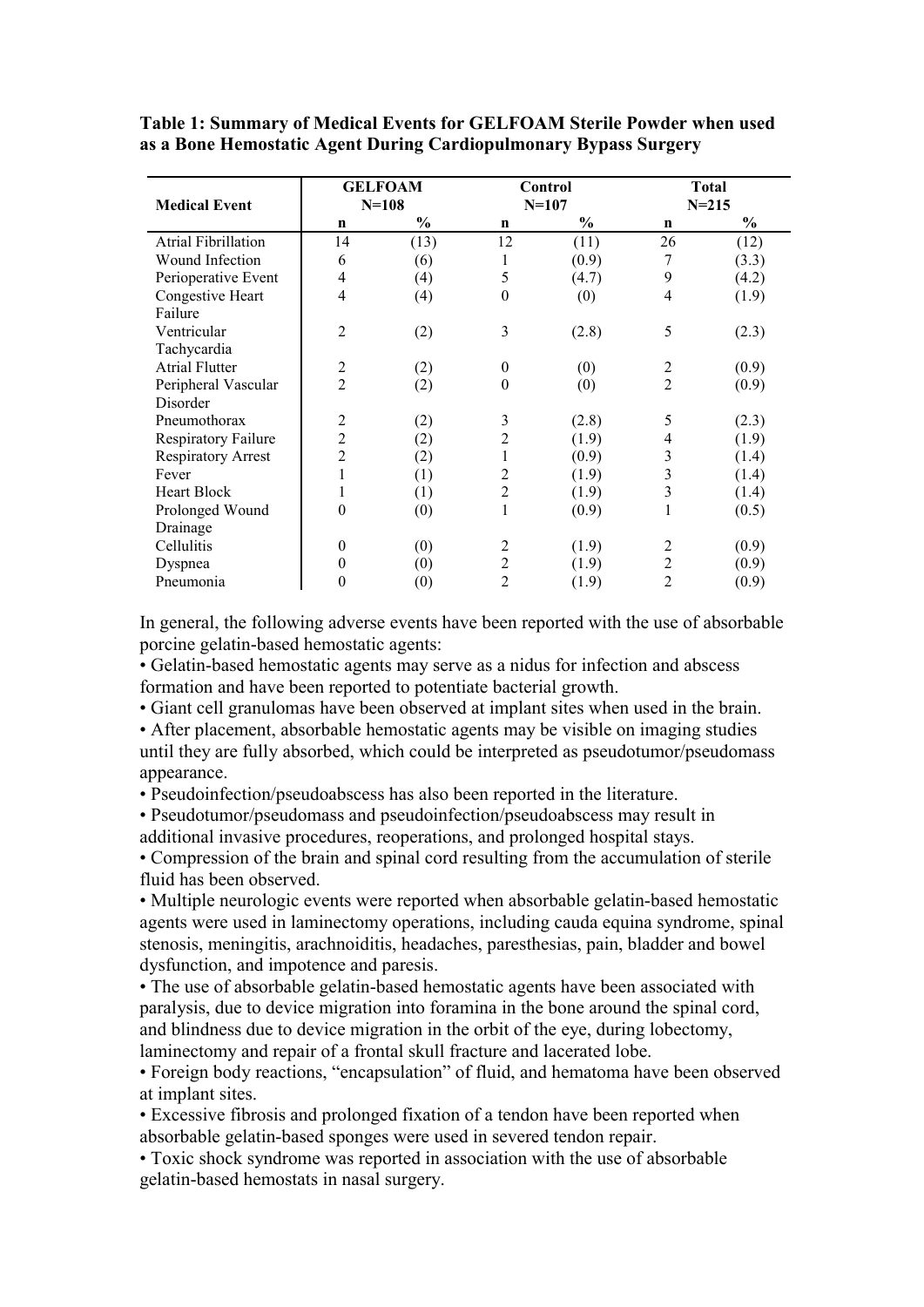**Table 1: Summary of Medical Events for GELFOAM Sterile Powder when used as a Bone Hemostatic Agent During Cardiopulmonary Bypass Surgery**

| <b>Medical Event</b>       | <b>GELFOAM</b><br>$N = 108$ |               | Control<br>$N = 107$ |       | <b>Total</b><br>$N = 215$ |       |
|----------------------------|-----------------------------|---------------|----------------------|-------|---------------------------|-------|
|                            | n                           | $\frac{6}{9}$ | $\mathbf n$          | $\%$  | n                         | $\%$  |
| <b>Atrial Fibrillation</b> | 14                          | (13)          | 12                   | (11)  | 26                        | (12)  |
| Wound Infection            | 6                           | (6)           | 1                    | (0.9) | 7                         | (3.3) |
| Perioperative Event        | $\overline{4}$              | (4)           | 5                    | (4.7) | 9                         | (4.2) |
| Congestive Heart           | 4                           | (4)           | $\boldsymbol{0}$     | (0)   | 4                         | (1.9) |
| Failure                    |                             |               |                      |       |                           |       |
| Ventricular                | $\overline{2}$              | (2)           | 3                    | (2.8) | 5                         | (2.3) |
| Tachycardia                |                             |               |                      |       |                           |       |
| <b>Atrial Flutter</b>      | $\overline{2}$              | (2)           | $\mathbf{0}$         | (0)   | 2                         | (0.9) |
| Peripheral Vascular        | $\overline{c}$              | (2)           | $\theta$             | (0)   | 2                         | (0.9) |
| Disorder                   |                             |               |                      |       |                           |       |
| Pneumothorax               | 2                           | (2)           | 3                    | (2.8) | 5                         | (2.3) |
| <b>Respiratory Failure</b> | $\overline{2}$              | (2)           | 2                    | (1.9) | 4                         | (1.9) |
| <b>Respiratory Arrest</b>  | $\overline{2}$              | (2)           |                      | (0.9) | 3                         | (1.4) |
| Fever                      | 1                           | (1)           | 2                    | (1.9) | 3                         | (1.4) |
| Heart Block                | 1                           | (1)           | $\overline{2}$       | (1.9) | 3                         | (1.4) |
| Prolonged Wound            | $\theta$                    | (0)           | 1                    | (0.9) | 1                         | (0.5) |
| Drainage                   |                             |               |                      |       |                           |       |
| Cellulitis                 | $\mathbf{0}$                | (0)           | 2                    | (1.9) | 2                         | (0.9) |
| Dyspnea                    | $\theta$                    | (0)           | $\overline{c}$       | (1.9) | 2                         | (0.9) |
| Pneumonia                  | $\theta$                    | (0)           | 2                    | (1.9) | 2                         | (0.9) |

In general, the following adverse events have been reported with the use of absorbable porcine gelatin-based hemostatic agents:

• Gelatin-based hemostatic agents may serve as a nidus for infection and abscess formation and have been reported to potentiate bacterial growth.

• Giant cell granulomas have been observed at implant sites when used in the brain.

• After placement, absorbable hemostatic agents may be visible on imaging studies until they are fully absorbed, which could be interpreted as pseudotumor/pseudomass appearance.

• Pseudoinfection/pseudoabscess has also been reported in the literature.

• Pseudotumor/pseudomass and pseudoinfection/pseudoabscess may result in additional invasive procedures, reoperations, and prolonged hospital stays.

• Compression of the brain and spinal cord resulting from the accumulation of sterile fluid has been observed.

• Multiple neurologic events were reported when absorbable gelatin-based hemostatic agents were used in laminectomy operations, including cauda equina syndrome, spinal stenosis, meningitis, arachnoiditis, headaches, paresthesias, pain, bladder and bowel dysfunction, and impotence and paresis.

• The use of absorbable gelatin-based hemostatic agents have been associated with paralysis, due to device migration into foramina in the bone around the spinal cord, and blindness due to device migration in the orbit of the eye, during lobectomy, laminectomy and repair of a frontal skull fracture and lacerated lobe.

• Foreign body reactions, "encapsulation" of fluid, and hematoma have been observed at implant sites.

• Excessive fibrosis and prolonged fixation of a tendon have been reported when absorbable gelatin-based sponges were used in severed tendon repair.

• Toxic shock syndrome was reported in association with the use of absorbable gelatin-based hemostats in nasal surgery.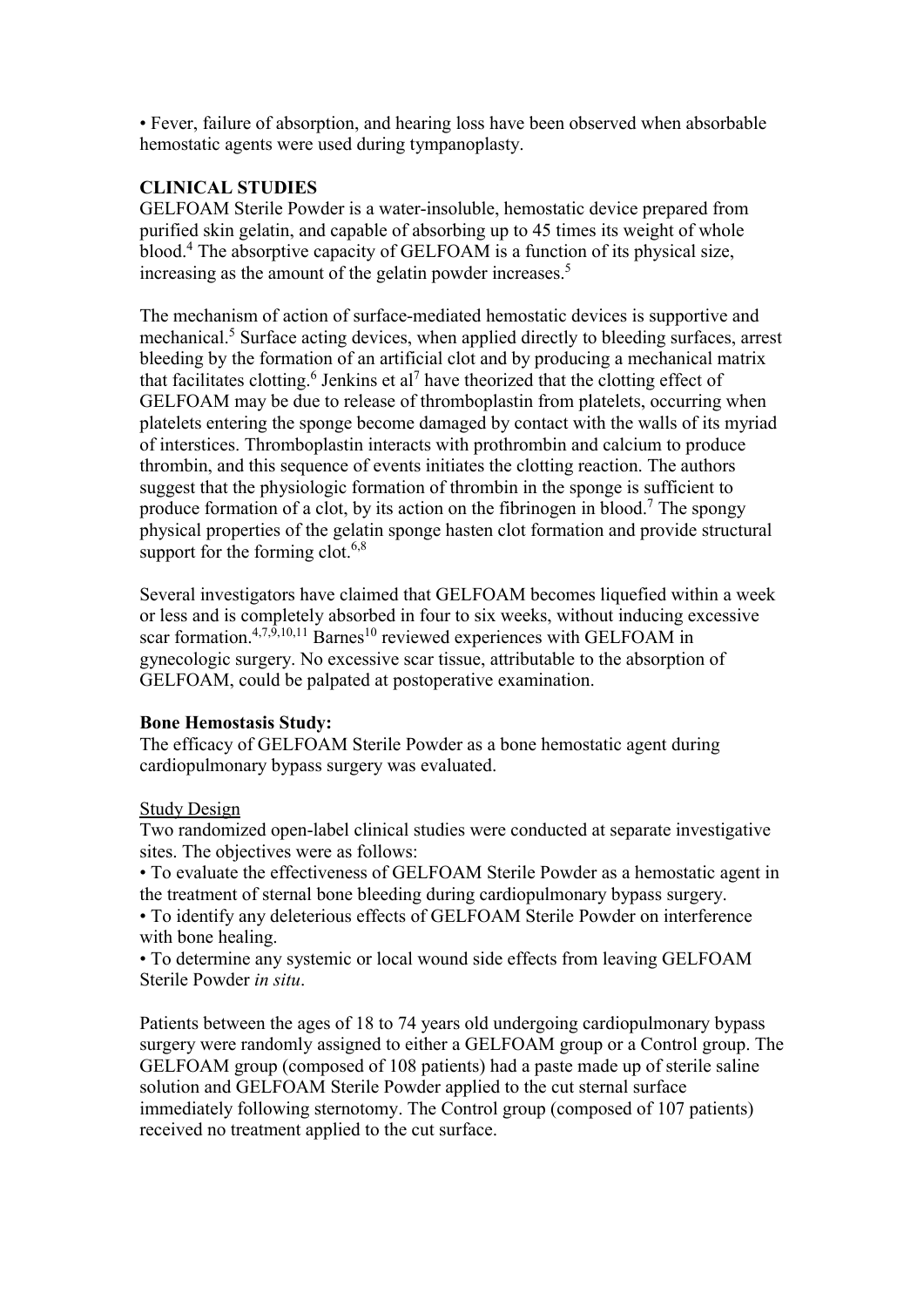• Fever, failure of absorption, and hearing loss have been observed when absorbable hemostatic agents were used during tympanoplasty.

# **CLINICAL STUDIES**

GELFOAM Sterile Powder is a water-insoluble, hemostatic device prepared from purified skin gelatin, and capable of absorbing up to 45 times its weight of whole blood.<sup>4</sup> The absorptive capacity of GELFOAM is a function of its physical size, increasing as the amount of the gelatin powder increases.<sup>5</sup>

The mechanism of action of surface-mediated hemostatic devices is supportive and mechanical.<sup>5</sup> Surface acting devices, when applied directly to bleeding surfaces, arrest bleeding by the formation of an artificial clot and by producing a mechanical matrix that facilitates clotting.<sup>6</sup> Jenkins et al<sup>7</sup> have theorized that the clotting effect of GELFOAM may be due to release of thromboplastin from platelets, occurring when platelets entering the sponge become damaged by contact with the walls of its myriad of interstices. Thromboplastin interacts with prothrombin and calcium to produce thrombin, and this sequence of events initiates the clotting reaction. The authors suggest that the physiologic formation of thrombin in the sponge is sufficient to produce formation of a clot, by its action on the fibrinogen in blood.<sup>7</sup> The spongy physical properties of the gelatin sponge hasten clot formation and provide structural support for the forming clot. $6,8$ 

Several investigators have claimed that GELFOAM becomes liquefied within a week or less and is completely absorbed in four to six weeks, without inducing excessive scar formation.<sup>4,7,9,10,11</sup> Barnes<sup>10</sup> reviewed experiences with GELFOAM in gynecologic surgery. No excessive scar tissue, attributable to the absorption of GELFOAM, could be palpated at postoperative examination.

#### **Bone Hemostasis Study:**

The efficacy of GELFOAM Sterile Powder as a bone hemostatic agent during cardiopulmonary bypass surgery was evaluated.

# Study Design

Two randomized open-label clinical studies were conducted at separate investigative sites. The objectives were as follows:

• To evaluate the effectiveness of GELFOAM Sterile Powder as a hemostatic agent in the treatment of sternal bone bleeding during cardiopulmonary bypass surgery.

• To identify any deleterious effects of GELFOAM Sterile Powder on interference with bone healing.

• To determine any systemic or local wound side effects from leaving GELFOAM Sterile Powder *in situ*.

Patients between the ages of 18 to 74 years old undergoing cardiopulmonary bypass surgery were randomly assigned to either a GELFOAM group or a Control group. The GELFOAM group (composed of 108 patients) had a paste made up of sterile saline solution and GELFOAM Sterile Powder applied to the cut sternal surface immediately following sternotomy. The Control group (composed of 107 patients) received no treatment applied to the cut surface.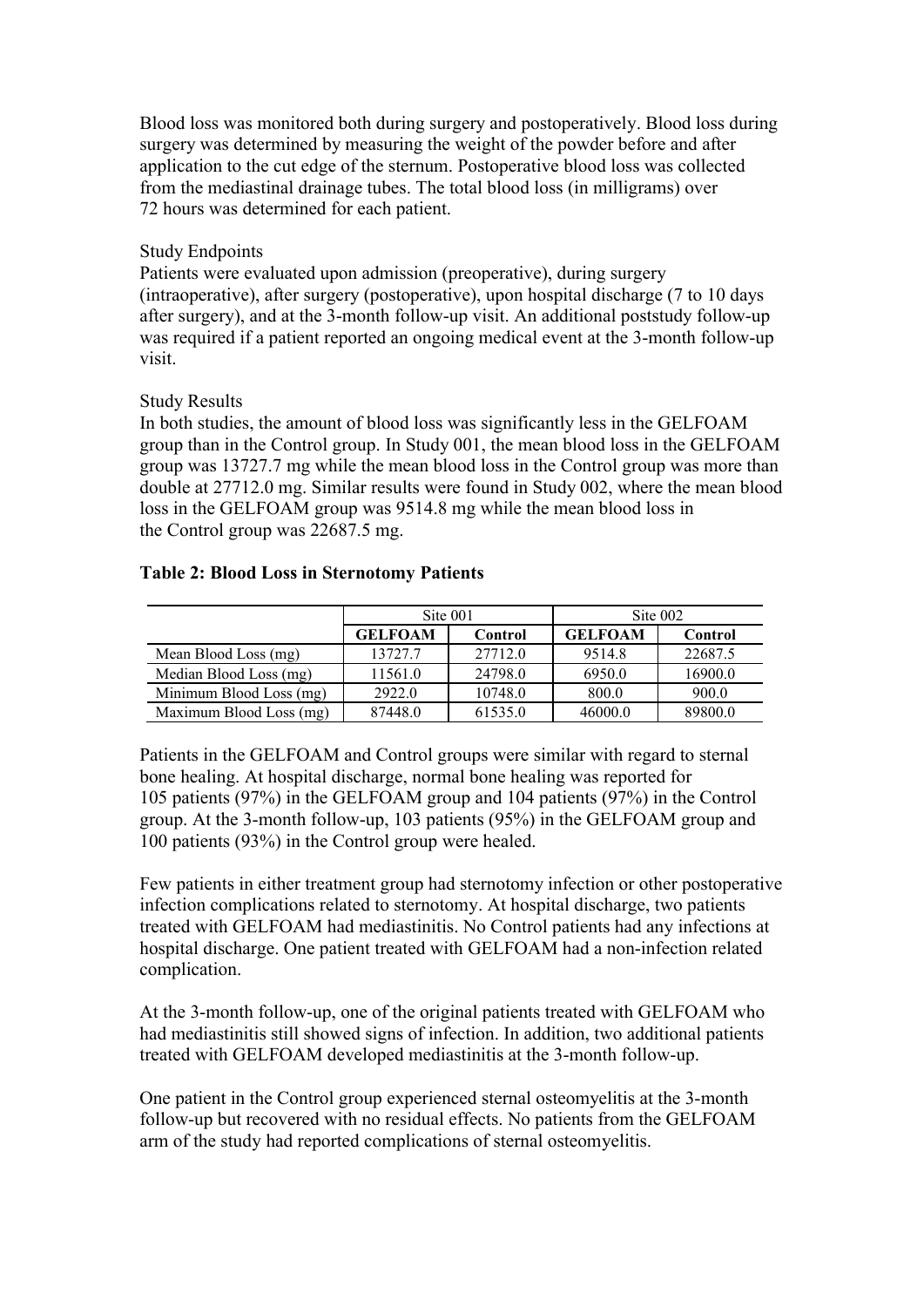Blood loss was monitored both during surgery and postoperatively. Blood loss during surgery was determined by measuring the weight of the powder before and after application to the cut edge of the sternum. Postoperative blood loss was collected from the mediastinal drainage tubes. The total blood loss (in milligrams) over 72 hours was determined for each patient.

#### Study Endpoints

Patients were evaluated upon admission (preoperative), during surgery (intraoperative), after surgery (postoperative), upon hospital discharge (7 to 10 days after surgery), and at the 3-month follow-up visit. An additional poststudy follow-up was required if a patient reported an ongoing medical event at the 3-month follow-up visit.

## Study Results

In both studies, the amount of blood loss was significantly less in the GELFOAM group than in the Control group. In Study 001, the mean blood loss in the GELFOAM group was 13727.7 mg while the mean blood loss in the Control group was more than double at 27712.0 mg. Similar results were found in Study 002, where the mean blood loss in the GELFOAM group was 9514.8 mg while the mean blood loss in the Control group was 22687.5 mg.

## **Table 2: Blood Loss in Sternotomy Patients**

|                         |                | Site 001 | Site 002       |         |  |
|-------------------------|----------------|----------|----------------|---------|--|
|                         | <b>GELFOAM</b> | Control  | <b>GELFOAM</b> | Control |  |
| Mean Blood Loss (mg)    | 13727.7        | 27712.0  | 9514.8         | 22687.5 |  |
| Median Blood Loss (mg)  | 11561.0        | 24798.0  | 6950.0         | 16900.0 |  |
| Minimum Blood Loss (mg) | 2922.0         | 10748.0  | 800.0          | 900.0   |  |
| Maximum Blood Loss (mg) | 87448.0        | 61535.0  | 46000.0        | 89800.0 |  |

Patients in the GELFOAM and Control groups were similar with regard to sternal bone healing. At hospital discharge, normal bone healing was reported for 105 patients (97%) in the GELFOAM group and 104 patients (97%) in the Control group. At the 3-month follow-up, 103 patients (95%) in the GELFOAM group and 100 patients (93%) in the Control group were healed.

Few patients in either treatment group had sternotomy infection or other postoperative infection complications related to sternotomy. At hospital discharge, two patients treated with GELFOAM had mediastinitis. No Control patients had any infections at hospital discharge. One patient treated with GELFOAM had a non-infection related complication.

At the 3-month follow-up, one of the original patients treated with GELFOAM who had mediastinitis still showed signs of infection. In addition, two additional patients treated with GELFOAM developed mediastinitis at the 3-month follow-up.

One patient in the Control group experienced sternal osteomyelitis at the 3-month follow-up but recovered with no residual effects. No patients from the GELFOAM arm of the study had reported complications of sternal osteomyelitis.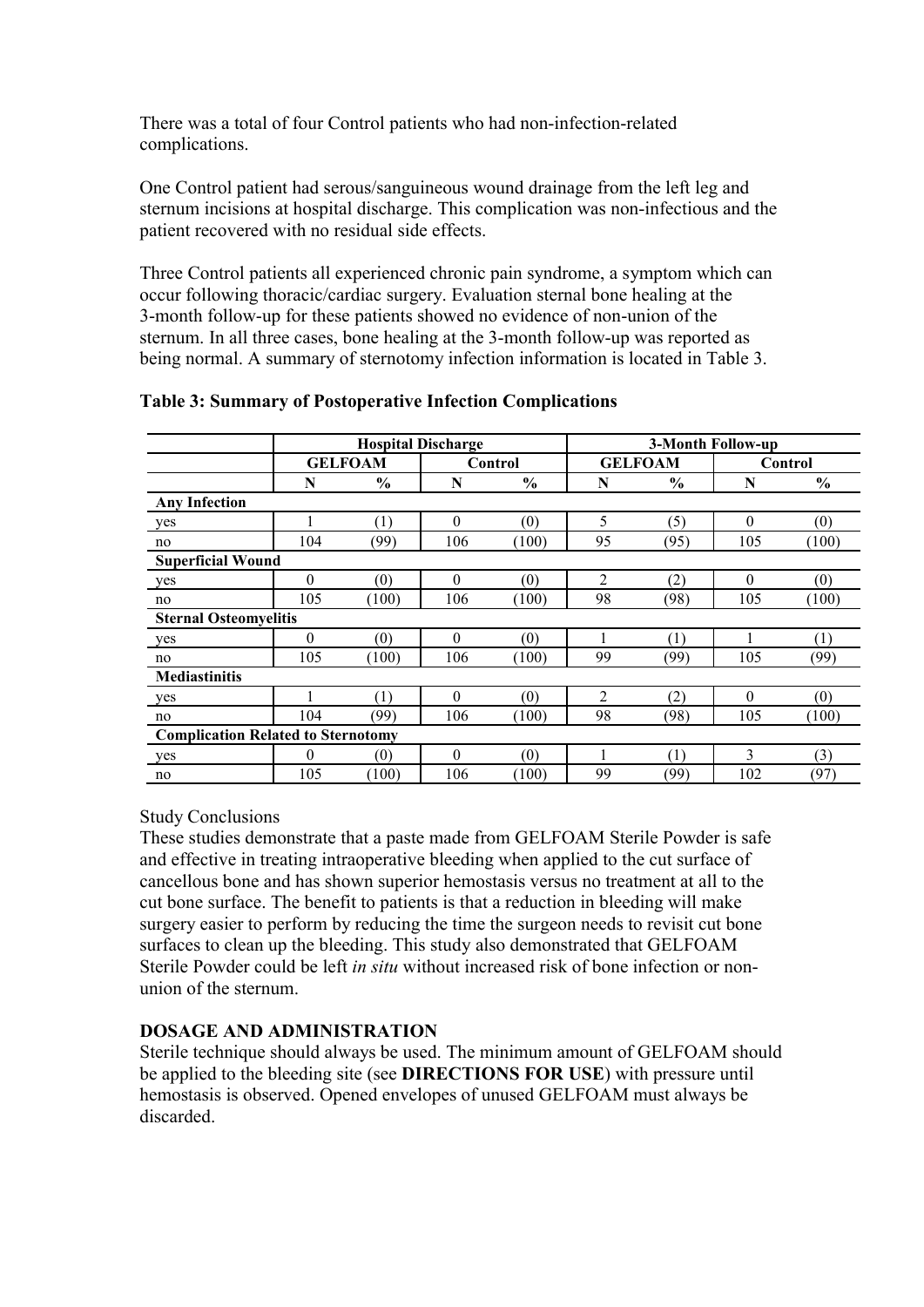There was a total of four Control patients who had non-infection-related complications.

One Control patient had serous/sanguineous wound drainage from the left leg and sternum incisions at hospital discharge. This complication was non-infectious and the patient recovered with no residual side effects.

Three Control patients all experienced chronic pain syndrome, a symptom which can occur following thoracic/cardiac surgery. Evaluation sternal bone healing at the 3-month follow-up for these patients showed no evidence of non-union of the sternum. In all three cases, bone healing at the 3-month follow-up was reported as being normal. A summary of sternotomy infection information is located in Table 3.

|                                           | <b>Hospital Discharge</b> |               |          |               | 3-Month Follow-up |               |          |               |
|-------------------------------------------|---------------------------|---------------|----------|---------------|-------------------|---------------|----------|---------------|
|                                           | <b>GELFOAM</b>            |               | Control  |               | <b>GELFOAM</b>    |               | Control  |               |
|                                           | N                         | $\frac{0}{0}$ | N        | $\frac{0}{0}$ | N                 | $\frac{0}{0}$ | N        | $\frac{0}{0}$ |
| <b>Any Infection</b>                      |                           |               |          |               |                   |               |          |               |
| yes                                       |                           | (1)           | $\theta$ | (0)           | 5                 | (5)           | $\theta$ | (0)           |
| no                                        | 104                       | (99)          | 106      | (100)         | 95                | (95)          | 105      | (100)         |
| <b>Superficial Wound</b>                  |                           |               |          |               |                   |               |          |               |
| yes                                       | $\theta$                  | (0)           | $\theta$ | (0)           | 2                 | (2)           | $\theta$ | (0)           |
| no                                        | 105                       | (100)         | 106      | (100)         | 98                | (98)          | 105      | (100)         |
| <b>Sternal Osteomyelitis</b>              |                           |               |          |               |                   |               |          |               |
| yes                                       | $\theta$                  | (0)           | $\theta$ | (0)           |                   | (1)           |          | (1)           |
| no                                        | 105                       | (100)         | 106      | (100)         | 99                | (99)          | 105      | (99)          |
| <b>Mediastinitis</b>                      |                           |               |          |               |                   |               |          |               |
| yes                                       |                           | (1)           | $\theta$ | (0)           | 2                 | (2)           | $\theta$ | (0)           |
| no                                        | 104                       | (99)          | 106      | (100)         | 98                | (98)          | 105      | (100)         |
| <b>Complication Related to Sternotomy</b> |                           |               |          |               |                   |               |          |               |
| yes                                       | $\theta$                  | (0)           | $\theta$ | (0)           |                   | (1)           | 3        | (3)           |
| no                                        | 105                       | (100)         | 106      | (100)         | 99                | (99)          | 102      | (97)          |

#### **Table 3: Summary of Postoperative Infection Complications**

#### Study Conclusions

These studies demonstrate that a paste made from GELFOAM Sterile Powder is safe and effective in treating intraoperative bleeding when applied to the cut surface of cancellous bone and has shown superior hemostasis versus no treatment at all to the cut bone surface. The benefit to patients is that a reduction in bleeding will make surgery easier to perform by reducing the time the surgeon needs to revisit cut bone surfaces to clean up the bleeding. This study also demonstrated that GELFOAM Sterile Powder could be left *in situ* without increased risk of bone infection or nonunion of the sternum.

# **DOSAGE AND ADMINISTRATION**

Sterile technique should always be used. The minimum amount of GELFOAM should be applied to the bleeding site (see **DIRECTIONS FOR USE**) with pressure until hemostasis is observed. Opened envelopes of unused GELFOAM must always be discarded.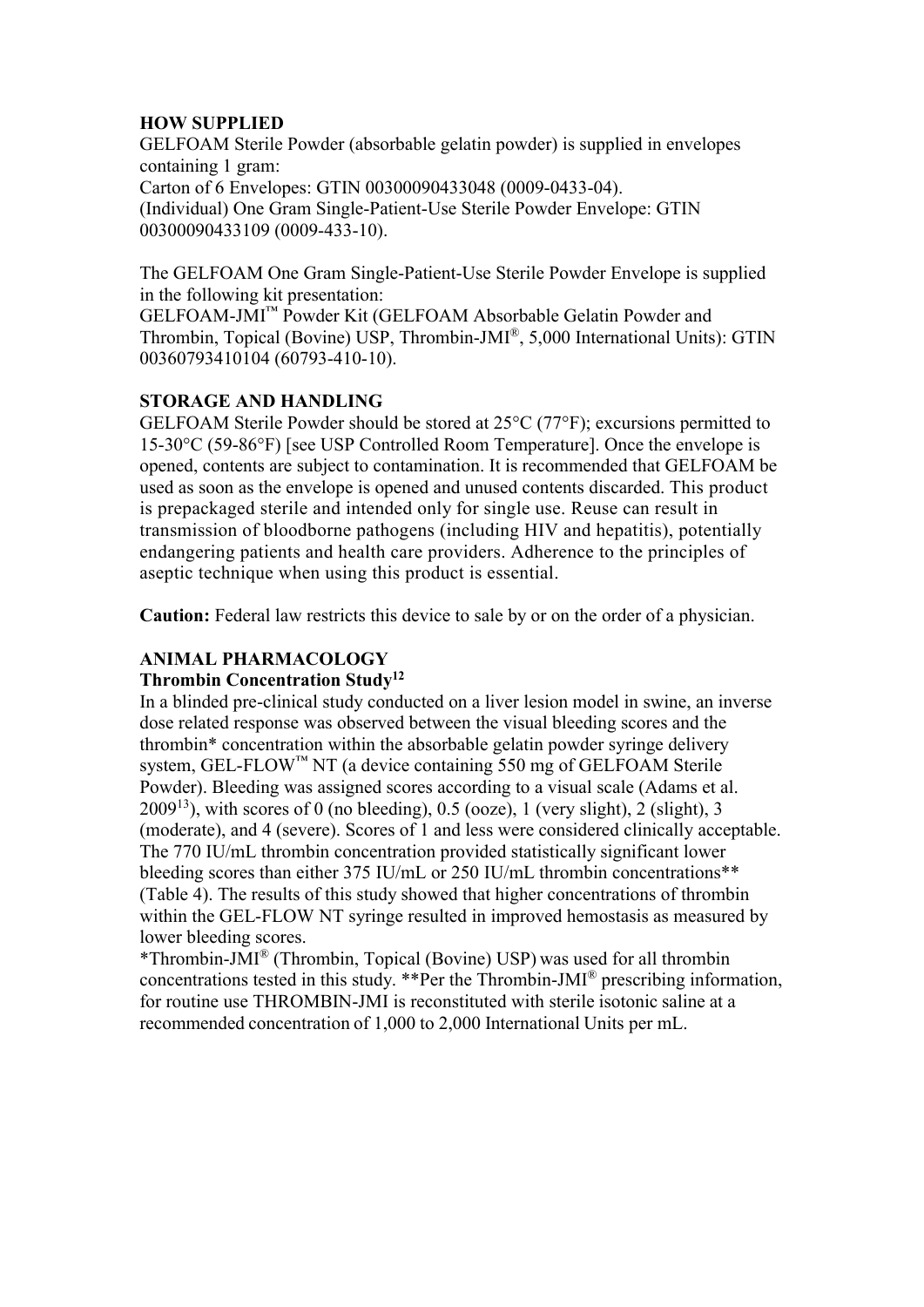## **HOW SUPPLIED**

GELFOAM Sterile Powder (absorbable gelatin powder) is supplied in envelopes containing 1 gram: Carton of 6 Envelopes: GTIN 00300090433048 (0009-0433-04). (Individual) One Gram Single-Patient-Use Sterile Powder Envelope: GTIN 00300090433109 (0009-433-10).

The GELFOAM One Gram Single-Patient-Use Sterile Powder Envelope is supplied in the following kit presentation:

GELFOAM-JMI™ Powder Kit (GELFOAM Absorbable Gelatin Powder and Thrombin, Topical (Bovine) USP, Thrombin-JMI®, 5,000 International Units): GTIN 00360793410104 (60793-410-10).

# **STORAGE AND HANDLING**

GELFOAM Sterile Powder should be stored at 25°C (77°F); excursions permitted to 15-30°C (59-86°F) [see USP Controlled Room Temperature]. Once the envelope is opened, contents are subject to contamination. It is recommended that GELFOAM be used as soon as the envelope is opened and unused contents discarded. This product is prepackaged sterile and intended only for single use. Reuse can result in transmission of bloodborne pathogens (including HIV and hepatitis), potentially endangering patients and health care providers. Adherence to the principles of aseptic technique when using this product is essential.

**Caution:** Federal law restricts this device to sale by or on the order of a physician.

# **ANIMAL PHARMACOLOGY**

#### **Thrombin Concentration Study<sup>12</sup>**

In a blinded pre-clinical study conducted on a liver lesion model in swine, an inverse dose related response was observed between the visual bleeding scores and the thrombin\* concentration within the absorbable gelatin powder syringe delivery system, GEL-FLOW™ NT (a device containing 550 mg of GELFOAM Sterile Powder). Bleeding was assigned scores according to a visual scale (Adams et al.  $2009<sup>13</sup>$ ), with scores of 0 (no bleeding), 0.5 (ooze), 1 (very slight), 2 (slight), 3 (moderate), and 4 (severe). Scores of 1 and less were considered clinically acceptable. The 770 IU/mL thrombin concentration provided statistically significant lower bleeding scores than either 375 IU/mL or 250 IU/mL thrombin concentrations\*\* (Table 4). The results of this study showed that higher concentrations of thrombin within the GEL-FLOW NT syringe resulted in improved hemostasis as measured by lower bleeding scores.

\*Thrombin-JMI® (Thrombin, Topical (Bovine) USP) was used for all thrombin concentrations tested in this study. \*\*Per the Thrombin-JMI® prescribing information, for routine use THROMBIN-JMI is reconstituted with sterile isotonic saline at a recommended concentration of 1,000 to 2,000 International Units per mL.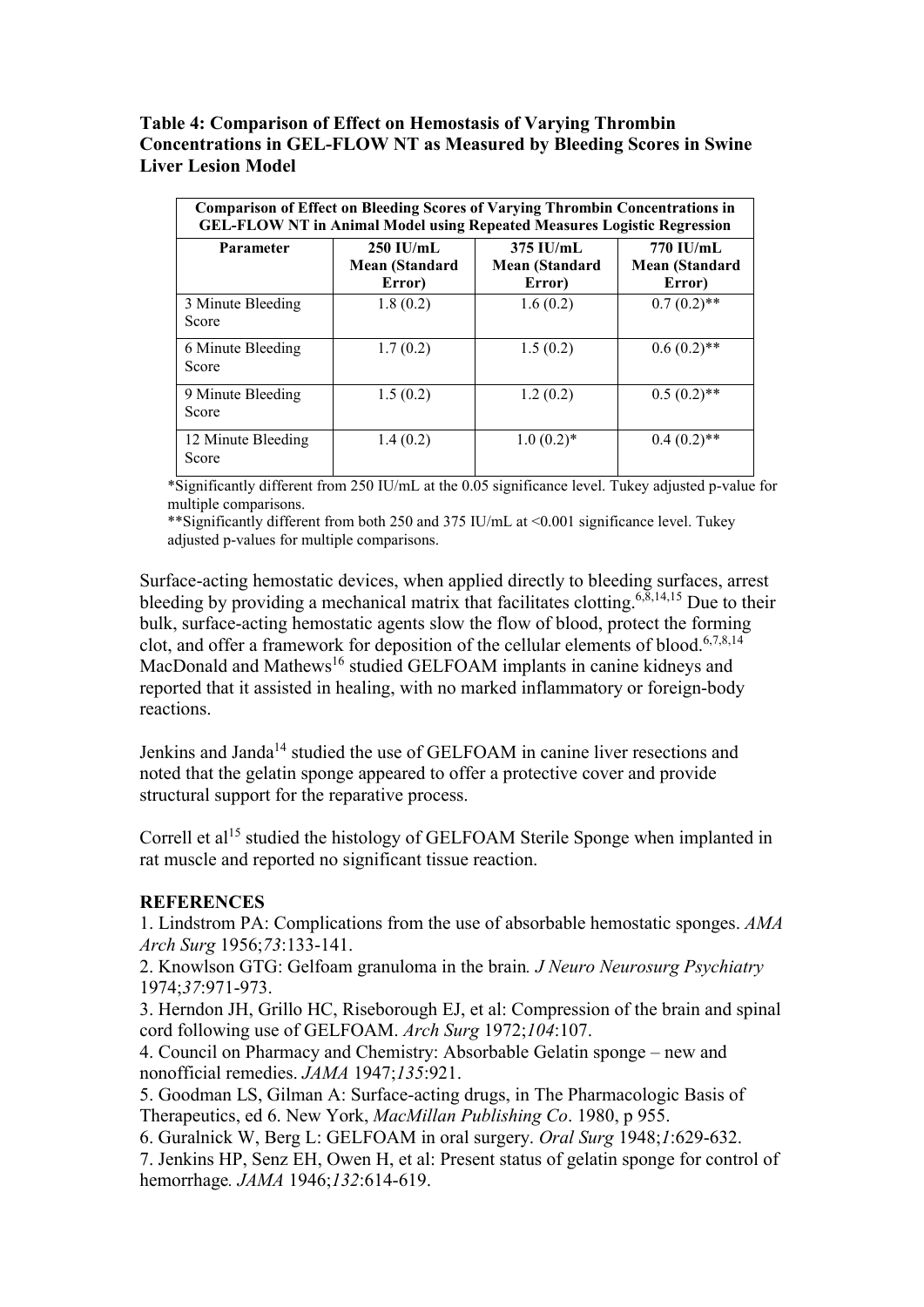**Table 4: Comparison of Effect on Hemostasis of Varying Thrombin Concentrations in GEL-FLOW NT as Measured by Bleeding Scores in Swine Liver Lesion Model**

| <b>Comparison of Effect on Bleeding Scores of Varying Thrombin Concentrations in</b><br><b>GEL-FLOW NT in Animal Model using Repeated Measures Logistic Regression</b> |                                                |                                                |                                              |  |  |  |
|------------------------------------------------------------------------------------------------------------------------------------------------------------------------|------------------------------------------------|------------------------------------------------|----------------------------------------------|--|--|--|
| <b>Parameter</b>                                                                                                                                                       | $250$ IU/mL<br><b>Mean (Standard</b><br>Error) | $375$ IU/mL<br><b>Mean (Standard</b><br>Error) | 770 IU/mL<br><b>Mean (Standard</b><br>Error) |  |  |  |
| 3 Minute Bleeding<br>Score                                                                                                                                             | 1.8(0.2)                                       | 1.6(0.2)                                       | $0.7(0.2)$ **                                |  |  |  |
| 6 Minute Bleeding<br>Score                                                                                                                                             | 1.7(0.2)                                       | 1.5(0.2)                                       | $0.6(0.2)$ **                                |  |  |  |
| 9 Minute Bleeding<br>Score                                                                                                                                             | 1.5(0.2)                                       | 1.2(0.2)                                       | $0.5(0.2)$ **                                |  |  |  |
| 12 Minute Bleeding<br>Score                                                                                                                                            | 1.4(0.2)                                       | $1.0(0.2)$ *                                   | $0.4(0.2)$ **                                |  |  |  |

\*Significantly different from 250 IU/mL at the 0.05 significance level. Tukey adjusted p-value for multiple comparisons.

\*\*Significantly different from both 250 and 375 IU/mL at <0.001 significance level. Tukey adjusted p-values for multiple comparisons.

Surface-acting hemostatic devices, when applied directly to bleeding surfaces, arrest bleeding by providing a mechanical matrix that facilitates clotting.<sup>6,8,14,15</sup> Due to their bulk, surface-acting hemostatic agents slow the flow of blood, protect the forming clot, and offer a framework for deposition of the cellular elements of blood.<sup>6,7,8,14</sup> MacDonald and Mathews<sup>16</sup> studied GELFOAM implants in canine kidneys and reported that it assisted in healing, with no marked inflammatory or foreign-body reactions.

Jenkins and Janda<sup>14</sup> studied the use of GELFOAM in canine liver resections and noted that the gelatin sponge appeared to offer a protective cover and provide structural support for the reparative process.

Correll et al<sup>15</sup> studied the histology of GELFOAM Sterile Sponge when implanted in rat muscle and reported no significant tissue reaction.

#### **REFERENCES**

1. Lindstrom PA: Complications from the use of absorbable hemostatic sponges. *AMA Arch Surg* 1956;*73*:133-141.

2. Knowlson GTG: Gelfoam granuloma in the brain*. J Neuro Neurosurg Psychiatry* 1974;*37*:971-973.

3. Herndon JH, Grillo HC, Riseborough EJ, et al: Compression of the brain and spinal cord following use of GELFOAM. *Arch Surg* 1972;*104*:107.

4. Council on Pharmacy and Chemistry: Absorbable Gelatin sponge – new and nonofficial remedies. *JAMA* 1947;*135*:921.

5. Goodman LS, Gilman A: Surface-acting drugs, in The Pharmacologic Basis of Therapeutics, ed 6. New York, *MacMillan Publishing Co*. 1980, p 955.

6. Guralnick W, Berg L: GELFOAM in oral surgery. *Oral Surg* 1948;*1*:629-632. 7. Jenkins HP, Senz EH, Owen H, et al: Present status of gelatin sponge for control of hemorrhage*. JAMA* 1946;*132*:614-619.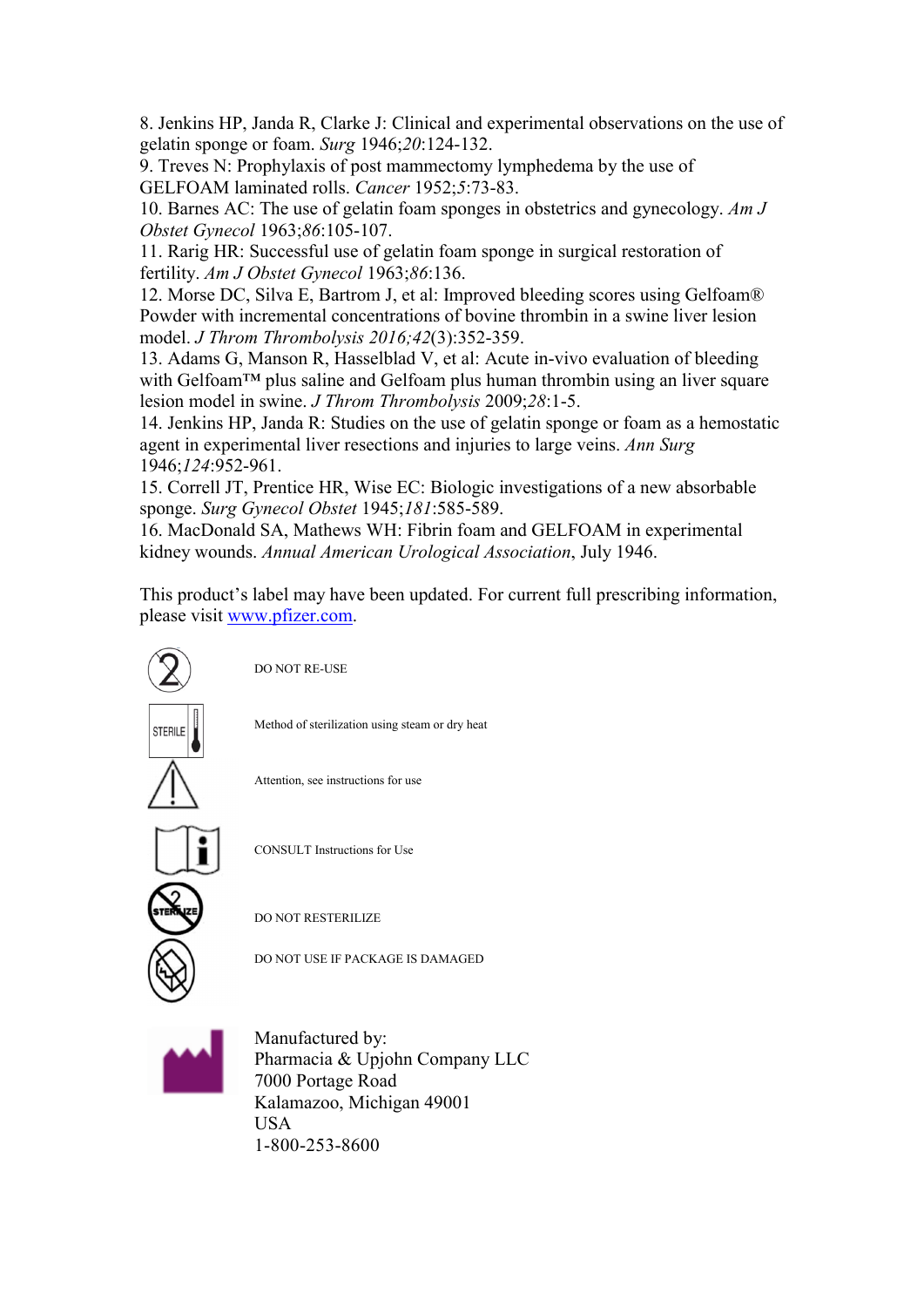8. Jenkins HP, Janda R, Clarke J: Clinical and experimental observations on the use of gelatin sponge or foam. *Surg* 1946;*20*:124-132.

9. Treves N: Prophylaxis of post mammectomy lymphedema by the use of GELFOAM laminated rolls. *Cancer* 1952;*5*:73-83.

10. Barnes AC: The use of gelatin foam sponges in obstetrics and gynecology. *Am J Obstet Gynecol* 1963;*86*:105-107.

11. Rarig HR: Successful use of gelatin foam sponge in surgical restoration of fertility. *Am J Obstet Gynecol* 1963;*86*:136.

12. Morse DC, Silva E, Bartrom J, et al: Improved bleeding scores using Gelfoam® Powder with incremental concentrations of bovine thrombin in a swine liver lesion model. *J Throm Thrombolysis 2016;42*(3):352-359.

13. Adams G, Manson R, Hasselblad V, et al: Acute in-vivo evaluation of bleeding with Gelfoam™ plus saline and Gelfoam plus human thrombin using an liver square lesion model in swine. *J Throm Thrombolysis* 2009;*28*:1-5.

14. Jenkins HP, Janda R: Studies on the use of gelatin sponge or foam as a hemostatic agent in experimental liver resections and injuries to large veins. *Ann Surg* 1946;*124*:952-961.

15. Correll JT, Prentice HR, Wise EC: Biologic investigations of a new absorbable sponge. *Surg Gynecol Obstet* 1945;*181*:585-589.

16. MacDonald SA, Mathews WH: Fibrin foam and GELFOAM in experimental kidney wounds. *Annual American Urological Association*, July 1946.

This product's label may have been updated. For current full prescribing information, please visit [www.pfizer.com](http://www.pfizer.com/).



DO NOT RE-USE

Method of sterilization using steam or dry heat



Attention, see instructions for use



CONSULT Instructions for Use

DO NOT RESTERILIZE

DO NOT USE IF PACKAGE IS DAMAGED



Manufactured by: Pharmacia & Upjohn Company LLC 7000 Portage Road Kalamazoo, Michigan 49001 USA 1-800-253-8600